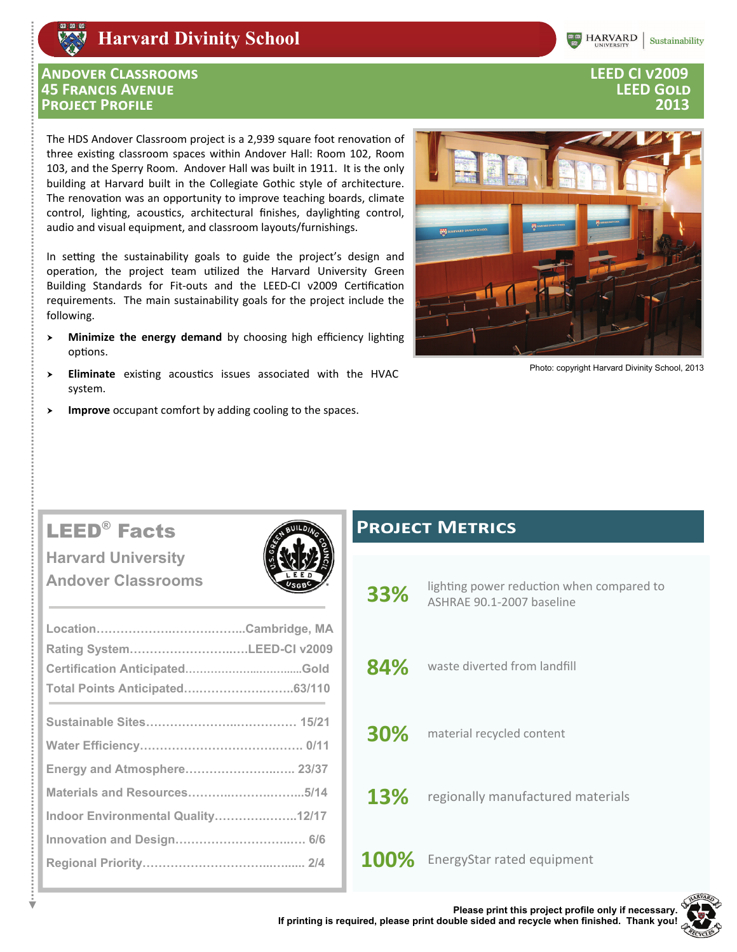# **Harvard Divinity School**

### **ANDOVER CLASSROOMS 45 FRANCIS AVENUE PROJECT PROFILE**

The HDS Andover Classroom project is a 2,939 square foot renovation of three existing classroom spaces within Andover Hall: Room 102, Room 103, and the Sperry Room. Andover Hall was built in 1911. It is the only building at Harvard built in the Collegiate Gothic style of architecture. The renovation was an opportunity to improve teaching boards, climate control, lighting, acoustics, architectural finishes, daylighting control, audio and visual equipment, and classroom layouts/furnishings.

In setting the sustainability goals to guide the project's design and operation, the project team utilized the Harvard University Green Building Standards for Fit-outs and the LEED-CI v2009 Certification requirements. The main sustainability goals for the project include the following.

- Minimize the energy demand by choosing high efficiency lighting  $\lambda$ options.
- Eliminate existing acoustics issues associated with the HVAC  $\rightarrow$ system.
- Improve occupant comfort by adding cooling to the spaces. ⋗



Photo: copyright Harvard Divinity School, 2013

# **LEED<sup>®</sup>** Facts

**Harvard University Andover Classrooms** 

| Rating SystemLEED-CI v2009        |  |
|-----------------------------------|--|
|                                   |  |
| Total Points Anticipated63/110    |  |
|                                   |  |
|                                   |  |
|                                   |  |
| Energy and Atmosphere 23/37       |  |
| Materials and Resources5/14       |  |
| Indoor Environmental Quality12/17 |  |
|                                   |  |
|                                   |  |
|                                   |  |

# **PROJECT METRICS**

- lighting power reduction when compared to 33% ASHRAE 90.1-2007 baseline
- 84% waste diverted from landfill
- 30% material recycled content
- 13% regionally manufactured materials

100% EnergyStar rated equipment



### **LEED CI v2009 LEED GOLD** 2013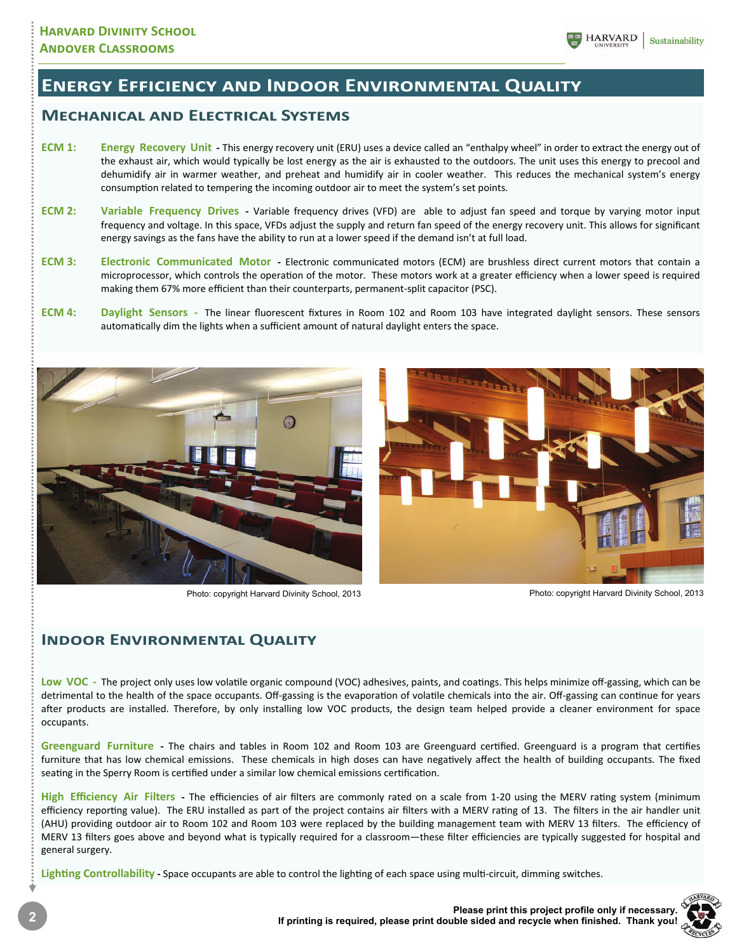# **ENERGY EFFICIENCY AND INDOOR ENVIRONMENTAL QUALITY**

## **MECHANICAL AND ELECTRICAL SYSTEMS**

- **ECM 1:** Energy Recovery Unit This energy recovery unit (ERU) uses a device called an "enthalpy wheel" in order to extract the energy out of the exhaust air, which would typically be lost energy as the air is exhausted to the outdoors. The unit uses this energy to precool and dehumidify air in warmer weather, and preheat and humidify air in cooler weather. This reduces the mechanical system's energy consumption related to tempering the incoming outdoor air to meet the system's set points.
- **ECM 2:** Variable Frequency Drives Variable frequency drives (VFD) are able to adjust fan speed and torque by varying motor input frequency and voltage. In this space, VFDs adjust the supply and return fan speed of the energy recovery unit. This allows for significant energy savings as the fans have the ability to run at a lower speed if the demand isn't at full load.
- **ECM 3: Electronic Communicated Motor ‐** Electronic communicated motors (ECM) are brushless direct current motors that contain a microprocessor, which controls the operation of the motor. These motors work at a greater efficiency when a lower speed is required making them 67% more efficient than their counterparts, permanent‐split capacitor (PSC).
- **ECM 4:** Daylight Sensors The linear fluorescent fixtures in Room 102 and Room 103 have integrated daylight sensors. These sensors automatically dim the lights when a sufficient amount of natural daylight enters the space.





Photo: copyright Harvard Divinity School, 2013 Photo: copyright Harvard Divinity School, 2013

### **INDOOR ENVIRONMENTAL QUALITY**

Low VOC - The project only uses low volatile organic compound (VOC) adhesives, paints, and coatings. This helps minimize off-gassing, which can be detrimental to the health of the space occupants. Off-gassing is the evaporation of volatile chemicals into the air. Off-gassing can continue for years after products are installed. Therefore, by only installing low VOC products, the design team helped provide a cleaner environment for space occupants.

Greenguard Furniture - The chairs and tables in Room 102 and Room 103 are Greenguard certified. Greenguard is a program that certifies furniture that has low chemical emissions. These chemicals in high doses can have negatively affect the health of building occupants. The fixed seating in the Sperry Room is certified under a similar low chemical emissions certification.

High Efficiency Air Filters - The efficiencies of air filters are commonly rated on a scale from 1-20 using the MERV rating system (minimum efficiency reporting value). The ERU installed as part of the project contains air filters with a MERV rating of 13. The filters in the air handler unit (AHU) providing outdoor air to Room 102 and Room 103 were replaced by the building management team with MERV 13 filters. The efficiency of MERV 13 filters goes above and beyond what is typically required for a classroom—these filter efficiencies are typically suggested for hospital and general surgery.

Lighting Controllability - Space occupants are able to control the lighting of each space using multi-circuit, dimming switches.

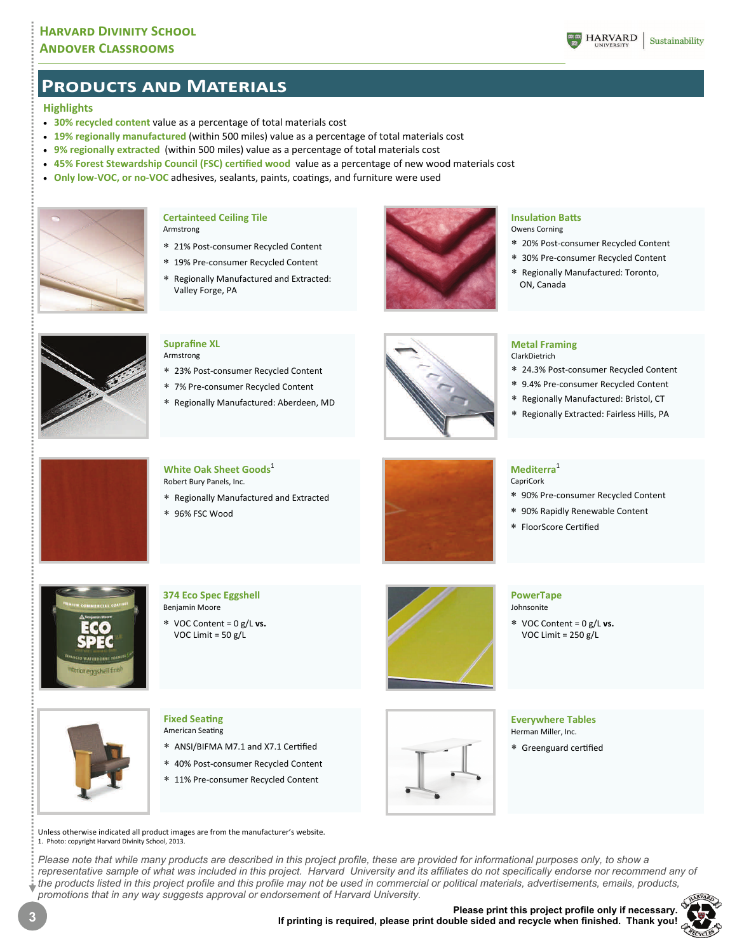### **ANDOVER CLASSROOMS**



## **PRODUCTS AND MATERIALS**

### **Highlights**

- **30% recycled content** value as a percentage of total materials cost
- **19% regionally manufactured** (within 500 miles) value as a percentage of total materials cost
- **9% regionally extracted** (within 500 miles) value as a percentage of total materials cost
- **45% Forest Stewardship Council (FSC) certified wood value as a percentage of new wood materials cost**
- **Only low-VOC, or no-VOC** adhesives, sealants, paints, coatings, and furniture were used



#### **Certainteed Ceiling Tile**  Armstrong

- 21% Post‐consumer Recycled Content
- 19% Pre‐consumer Recycled Content
- Regionally Manufactured and Extracted: Valley Forge, PA



#### **InsulaƟon BaƩs**  Owens Corning

- 20% Post‐consumer Recycled Content
- 
- 30% Pre‐consumer Recycled Content
- Regionally Manufactured: Toronto, ON, Canada



#### **Suprafine XL**  Armstrong

- 23% Post‐consumer Recycled Content
- 7% Pre‐consumer Recycled Content
- Regionally Manufactured: Aberdeen, MD



#### **Metal Framing**  ClarkDietrich

- 24.3% Post‐consumer Recycled Content
- 9.4% Pre‐consumer Recycled Content
- Regionally Manufactured: Bristol, CT
- Regionally Extracted: Fairless Hills, PA

 90% Pre‐consumer Recycled Content 90% Rapidly Renewable Content



### **White Oak Sheet Goods**<sup>1</sup> Robert Bury Panels, Inc.

- Regionally Manufactured and Extracted
- 96% FSC Wood



### **374 Eco Spec Eggshell**  Benjamin Moore VOC Content = 0 g/L **vs.**  VOC Limit = 50 g/L



#### **PowerTape**  Johnsonite

**Mediterra**<sup>1</sup> CapriCork

 VOC Content = 0 g/L **vs.**  VOC Limit = 250 g/L

\* FloorScore Certified



### **Fixed Seating American Seating**

- \* ANSI/BIFMA M7.1 and X7.1 Certified
- 40% Post‐consumer Recycled Content
- 11% Pre‐consumer Recycled Content



### **Everywhere Tables**  Herman Miller, Inc.

\* Greenguard certified

Unless otherwise indicated all product images are from the manufacturer's website. 1. Photo: copyright Harvard Divinity School, 2013.

*Please note that while many products are described in this project profile, these are provided for informational purposes only, to show a*  representative sample of what was included in this project. Harvard University and its affiliates do not specifically endorse nor recommend any of *the products listed in this project profile and this profile may not be used in commercial or political materials, advertisements, emails, products, promotions that in any way suggests approval or endorsement of Harvard University.* **RVA**